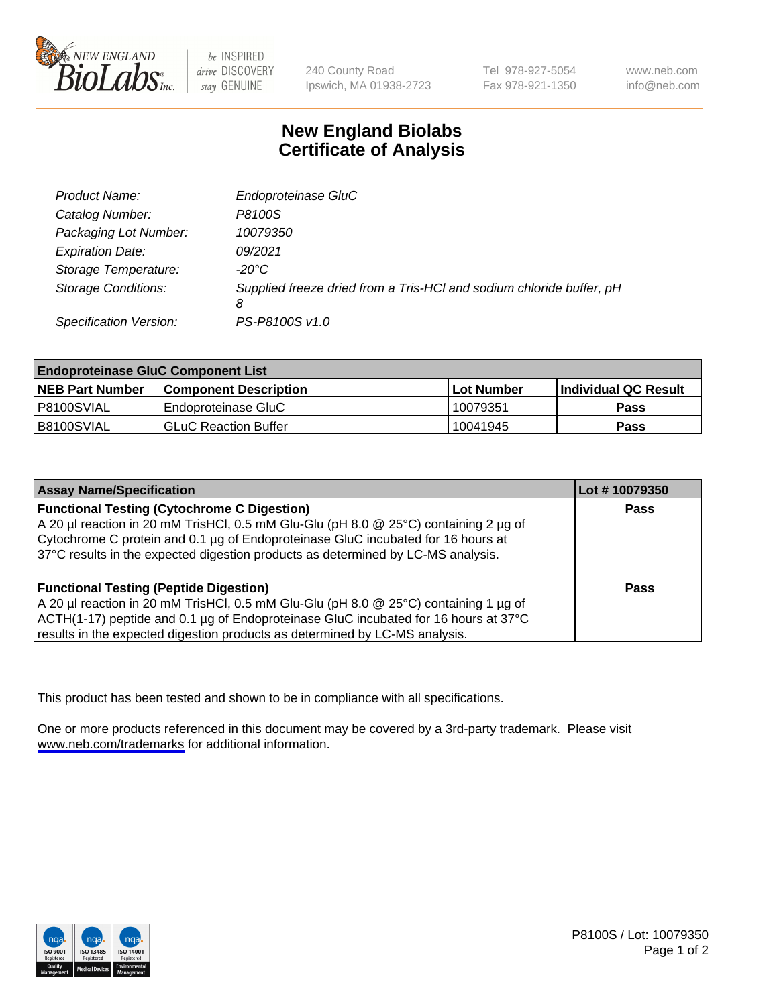

be INSPIRED drive DISCOVERY stay GENUINE

240 County Road Ipswich, MA 01938-2723 Tel 978-927-5054 Fax 978-921-1350

www.neb.com info@neb.com

## **New England Biolabs Certificate of Analysis**

| Product Name:              | Endoproteinase GluC                                                       |
|----------------------------|---------------------------------------------------------------------------|
| Catalog Number:            | P8100S                                                                    |
| Packaging Lot Number:      | 10079350                                                                  |
| <b>Expiration Date:</b>    | 09/2021                                                                   |
| Storage Temperature:       | $-20^{\circ}$ C                                                           |
| <b>Storage Conditions:</b> | Supplied freeze dried from a Tris-HCI and sodium chloride buffer, pH<br>8 |
| Specification Version:     | PS-P8100S v1.0                                                            |

| <b>Endoproteinase GluC Component List</b> |                              |            |                       |  |
|-------------------------------------------|------------------------------|------------|-----------------------|--|
| <b>NEB Part Number</b>                    | <b>Component Description</b> | Lot Number | ∣Individual QC Result |  |
| P8100SVIAL                                | Endoproteinase GluC          | 10079351   | <b>Pass</b>           |  |
| B8100SVIAL                                | <b>GLuC Reaction Buffer</b>  | 10041945   | Pass                  |  |

| <b>Assay Name/Specification</b>                                                      | Lot #10079350 |
|--------------------------------------------------------------------------------------|---------------|
| <b>Functional Testing (Cytochrome C Digestion)</b>                                   | <b>Pass</b>   |
| A 20 µl reaction in 20 mM TrisHCl, 0.5 mM Glu-Glu (pH 8.0 @ 25°C) containing 2 µg of |               |
| Cytochrome C protein and 0.1 µg of Endoproteinase GluC incubated for 16 hours at     |               |
| 37°C results in the expected digestion products as determined by LC-MS analysis.     |               |
|                                                                                      |               |
| <b>Functional Testing (Peptide Digestion)</b>                                        | Pass          |
| A 20 µl reaction in 20 mM TrisHCl, 0.5 mM Glu-Glu (pH 8.0 @ 25°C) containing 1 µg of |               |
| ACTH(1-17) peptide and 0.1 µg of Endoproteinase GluC incubated for 16 hours at 37°C  |               |
| results in the expected digestion products as determined by LC-MS analysis.          |               |

This product has been tested and shown to be in compliance with all specifications.

One or more products referenced in this document may be covered by a 3rd-party trademark. Please visit <www.neb.com/trademarks>for additional information.